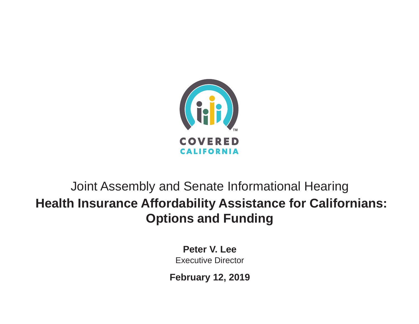

# Joint Assembly and Senate Informational Hearing **Health Insurance Affordability Assistance for Californians: Options and Funding**

**Peter V. Lee** Executive Director

**February 12, 2019**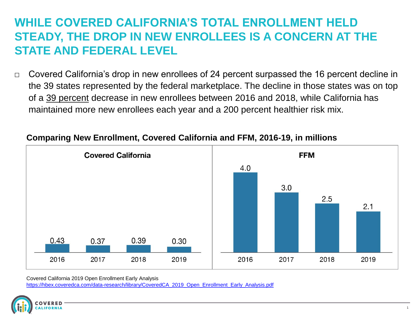#### **WHILE COVERED CALIFORNIA'S TOTAL ENROLLMENT HELD STEADY, THE DROP IN NEW ENROLLEES IS A CONCERN AT THE STATE AND FEDERAL LEVEL**

 $\Box$  Covered California's drop in new enrollees of 24 percent surpassed the 16 percent decline in the 39 states represented by the federal marketplace. The decline in those states was on top of a 39 percent decrease in new enrollees between 2016 and 2018, while California has maintained more new enrollees each year and a 200 percent healthier risk mix.



#### **Comparing New Enrollment, Covered California and FFM, 2016-19, in millions**

Covered California 2019 Open Enrollment Early Analysis

[https://hbex.coveredca.com/data-research/library/CoveredCA\\_2019\\_Open\\_Enrollment\\_Early\\_Analysis.pdf](https://hbex.coveredca.com/data-research/library/CoveredCA_2019_Open_Enrollment_Early_Analysis.pdf)

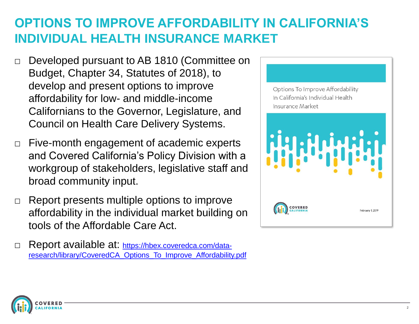### **OPTIONS TO IMPROVE AFFORDABILITY IN CALIFORNIA'S INDIVIDUAL HEALTH INSURANCE MARKET**

- □ Developed pursuant to AB 1810 (Committee on Budget, Chapter 34, Statutes of 2018), to develop and present options to improve affordability for low- and middle-income Californians to the Governor, Legislature, and Council on Health Care Delivery Systems.
- $\Box$  Five-month engagement of academic experts and Covered California's Policy Division with a workgroup of stakeholders, legislative staff and broad community input.
- $\Box$  Report presents multiple options to improve affordability in the individual market building on tools of the Affordable Care Act.
- □ Report available at: https://hbex.coveredca.com/data[research/library/CoveredCA\\_Options\\_To\\_Improve\\_Affordability.pdf](https://hbex.coveredca.com/data-research/library/CoveredCA_Options_To_Improve_Affordability.pdf)



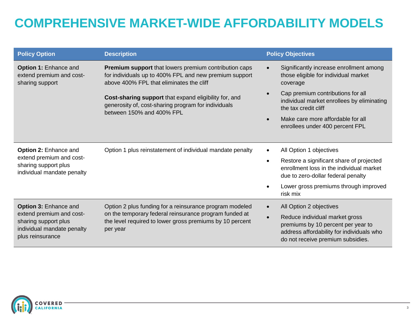## **COMPREHENSIVE MARKET-WIDE AFFORDABILITY MODELS**

| <b>Policy Option</b>                                                                                                               | <b>Description</b>                                                                                                                                                                        | <b>Policy Objectives</b> |                                                                                                                                                        |
|------------------------------------------------------------------------------------------------------------------------------------|-------------------------------------------------------------------------------------------------------------------------------------------------------------------------------------------|--------------------------|--------------------------------------------------------------------------------------------------------------------------------------------------------|
| Option 1: Enhance and<br>extend premium and cost-<br>sharing support                                                               | Premium support that lowers premium contribution caps<br>for individuals up to 400% FPL and new premium support<br>above 400% FPL that eliminates the cliff                               |                          | Significantly increase enrollment among<br>those eligible for individual market<br>coverage                                                            |
|                                                                                                                                    | Cost-sharing support that expand eligibility for, and<br>generosity of, cost-sharing program for individuals<br>between 150% and 400% FPL                                                 |                          | Cap premium contributions for all<br>individual market enrollees by eliminating<br>the tax credit cliff                                                |
|                                                                                                                                    |                                                                                                                                                                                           |                          | Make care more affordable for all<br>enrollees under 400 percent FPL                                                                                   |
|                                                                                                                                    |                                                                                                                                                                                           |                          |                                                                                                                                                        |
| <b>Option 2: Enhance and</b>                                                                                                       | Option 1 plus reinstatement of individual mandate penalty                                                                                                                                 | $\bullet$                | All Option 1 objectives                                                                                                                                |
| extend premium and cost-<br>sharing support plus<br>individual mandate penalty                                                     |                                                                                                                                                                                           | $\bullet$                | Restore a significant share of projected<br>enrollment loss in the individual market<br>due to zero-dollar federal penalty                             |
|                                                                                                                                    |                                                                                                                                                                                           |                          | Lower gross premiums through improved<br>risk mix                                                                                                      |
| <b>Option 3: Enhance and</b><br>extend premium and cost-<br>sharing support plus<br>individual mandate penalty<br>plus reinsurance | Option 2 plus funding for a reinsurance program modeled<br>on the temporary federal reinsurance program funded at<br>the level required to lower gross premiums by 10 percent<br>per year |                          | All Option 2 objectives                                                                                                                                |
|                                                                                                                                    |                                                                                                                                                                                           | $\bullet$                | Reduce individual market gross<br>premiums by 10 percent per year to<br>address affordability for individuals who<br>do not receive premium subsidies. |

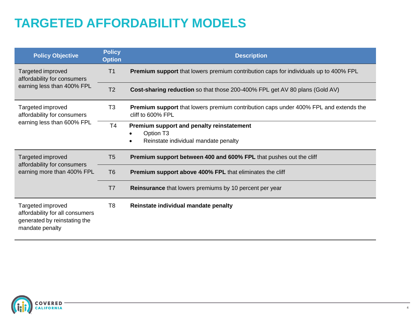# **TARGETED AFFORDABILITY MODELS**

| <b>Policy Objective</b>                                                                                 | <b>Policy</b><br><b>Option</b> | <b>Description</b>                                                                                               |  |  |
|---------------------------------------------------------------------------------------------------------|--------------------------------|------------------------------------------------------------------------------------------------------------------|--|--|
| Targeted improved<br>affordability for consumers<br>earning less than 400% FPL                          | T <sub>1</sub>                 | <b>Premium support</b> that lowers premium contribution caps for individuals up to 400% FPL                      |  |  |
|                                                                                                         | T <sub>2</sub>                 | <b>Cost-sharing reduction</b> so that those 200-400% FPL get AV 80 plans (Gold AV)                               |  |  |
| Targeted improved<br>affordability for consumers                                                        | T <sub>3</sub>                 | <b>Premium support</b> that lowers premium contribution caps under 400% FPL and extends the<br>cliff to 600% FPL |  |  |
| earning less than 600% FPL                                                                              | T4                             | Premium support and penalty reinstatement<br>Option T <sub>3</sub><br>Reinstate individual mandate penalty       |  |  |
| Targeted improved<br>affordability for consumers                                                        | T <sub>5</sub>                 | <b>Premium support between 400 and 600% FPL that pushes out the cliff</b>                                        |  |  |
| earning more than 400% FPL                                                                              | T <sub>6</sub>                 | <b>Premium support above 400% FPL that eliminates the cliff</b>                                                  |  |  |
|                                                                                                         | T7                             | <b>Reinsurance</b> that lowers premiums by 10 percent per year                                                   |  |  |
| Targeted improved<br>affordability for all consumers<br>generated by reinstating the<br>mandate penalty | T8                             | Reinstate individual mandate penalty                                                                             |  |  |

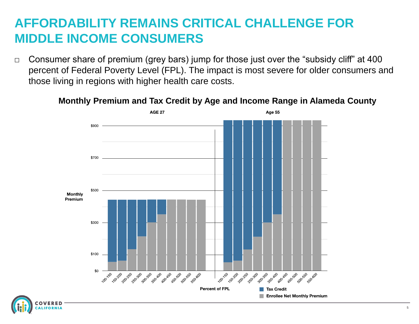#### **AFFORDABILITY REMAINS CRITICAL CHALLENGE FOR MIDDLE INCOME CONSUMERS**

□ Consumer share of premium (grey bars) jump for those just over the "subsidy cliff" at 400 percent of Federal Poverty Level (FPL). The impact is most severe for older consumers and those living in regions with higher health care costs.

#### **Monthly Premium and Tax Credit by Age and Income Range in Alameda County**



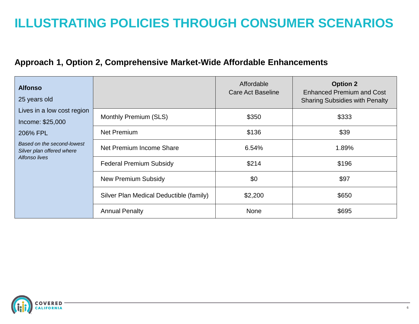### **ILLUSTRATING POLICIES THROUGH CONSUMER SCENARIOS**

#### **Approach 1, Option 2, Comprehensive Market-Wide Affordable Enhancements**

| <b>Alfonso</b><br>25 years old                                           |                                         | Affordable<br><b>Care Act Baseline</b> | <b>Option 2</b><br><b>Enhanced Premium and Cost</b><br><b>Sharing Subsidies with Penalty</b> |
|--------------------------------------------------------------------------|-----------------------------------------|----------------------------------------|----------------------------------------------------------------------------------------------|
| Lives in a low cost region<br>Income: \$25,000                           | Monthly Premium (SLS)                   | \$350                                  | \$333                                                                                        |
| 206% FPL                                                                 | <b>Net Premium</b>                      | \$136                                  | \$39                                                                                         |
| Based on the second-lowest<br>Silver plan offered where<br>Alfonso lives | Net Premium Income Share                | 6.54%                                  | 1.89%                                                                                        |
|                                                                          | <b>Federal Premium Subsidy</b>          | \$214                                  | \$196                                                                                        |
|                                                                          | New Premium Subsidy                     | \$0                                    | \$97                                                                                         |
|                                                                          | Silver Plan Medical Deductible (family) | \$2,200                                | \$650                                                                                        |
|                                                                          | <b>Annual Penalty</b>                   | <b>None</b>                            | \$695                                                                                        |

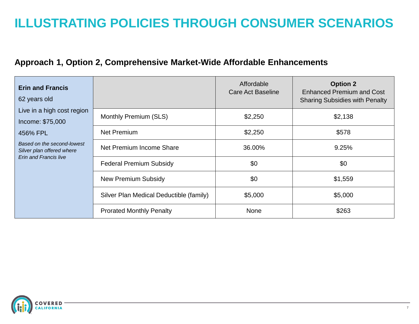### **ILLUSTRATING POLICIES THROUGH CONSUMER SCENARIOS**

#### **Approach 1, Option 2, Comprehensive Market-Wide Affordable Enhancements**

| <b>Erin and Francis</b><br>62 years old                                                 |                                         | Affordable<br>Care Act Baseline | <b>Option 2</b><br><b>Enhanced Premium and Cost</b><br><b>Sharing Subsidies with Penalty</b> |
|-----------------------------------------------------------------------------------------|-----------------------------------------|---------------------------------|----------------------------------------------------------------------------------------------|
| Live in a high cost region<br>Income: \$75,000                                          | Monthly Premium (SLS)                   | \$2,250                         | \$2,138                                                                                      |
| 456% FPL                                                                                | Net Premium                             | \$2,250                         | \$578                                                                                        |
| Based on the second-lowest<br>Silver plan offered where<br><b>Erin and Francis live</b> | Net Premium Income Share                | 36.00%                          | 9.25%                                                                                        |
|                                                                                         | <b>Federal Premium Subsidy</b>          | \$0                             | \$0                                                                                          |
|                                                                                         | New Premium Subsidy                     | \$0                             | \$1,559                                                                                      |
|                                                                                         | Silver Plan Medical Deductible (family) | \$5,000                         | \$5,000                                                                                      |
|                                                                                         | <b>Prorated Monthly Penalty</b>         | <b>None</b>                     | \$263                                                                                        |

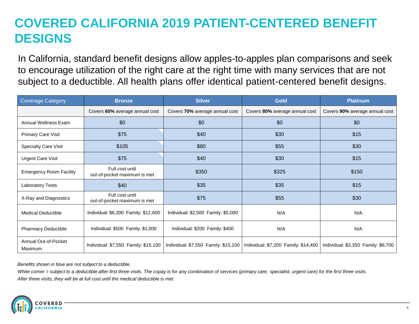# **COVERED CALIFORNIA 2019 PATIENT-CENTERED BENEFIT DESIGNS**

In California, standard benefit designs allow apples-to-apples plan comparisons and seek to encourage utilization of the right care at the right time with many services that are not subject to a deductible. All health plans offer identical patient-centered benefit designs.

| <b>Coverage Category</b>        | <b>Bronze</b>                                   | <b>Silver</b>                        | <b>Gold</b>                          | <b>Platinum</b>                     |
|---------------------------------|-------------------------------------------------|--------------------------------------|--------------------------------------|-------------------------------------|
|                                 | Covers 60% average annual cost                  | Covers 70% average annual cost       | Covers 80% average annual cost       | Covers 90% average annual cost      |
| <b>Annual Wellness Exam</b>     | \$0                                             | \$0                                  | \$0                                  | \$0                                 |
| Primary Care Visit              | \$75                                            | \$40                                 | \$30                                 | \$15                                |
| <b>Specialty Care Visit</b>     | \$105                                           | \$80                                 | \$55                                 | \$30                                |
| <b>Urgent Care Visit</b>        | \$75                                            | \$40                                 | \$30                                 | \$15                                |
| <b>Emergency Room Facility</b>  | Full cost until<br>out-of-pocket maximum is met | \$350                                | \$325                                | \$150                               |
| <b>Laboratory Tests</b>         | \$40                                            | \$35                                 | \$35                                 | \$15                                |
| X-Ray and Diagnostics           | Full cost until<br>out-of-pocket maximum is met | \$75                                 | \$55                                 | \$30                                |
| <b>Medical Deductible</b>       | Individual: \$6,300 Family: \$12,600            | Individual: \$2,500 Family: \$5,000  | N/A                                  | N/A                                 |
| <b>Pharmacy Deductible</b>      | Individual: \$500 Family: \$1,000               | Individual: \$200 Family: \$400      | N/A                                  | N/A                                 |
| Annual Out-of-Pocket<br>Maximum | Individual: \$7,550 Family: \$15,100            | Individual: \$7,550 Family: \$15,100 | Individual: \$7,200 Family: \$14,400 | Individual: \$3,350 Family: \$6,700 |

*Benefits shown in blue are not subject to a deductible.*

*White corner = subject to a deductible after first three visits. The copay is for any combination of services (primary care, specialist, urgent care) for the first three visits. After three visits, they will be at full cost until the medical deductible is met.*

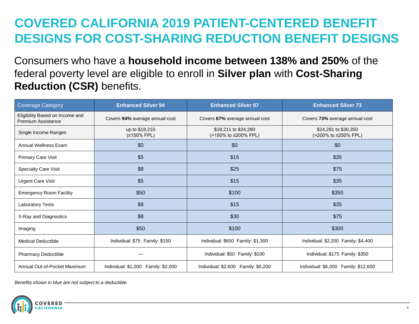## **COVERED CALIFORNIA 2019 PATIENT-CENTERED BENEFIT DESIGNS FOR COST-SHARING REDUCTION BENEFIT DESIGNS**

Consumers who have a **household income between 138% and 250%** of the federal poverty level are eligible to enroll in **Silver plan** with **Cost-Sharing Reduction (CSR)** benefits.

| <b>Coverage Category</b>                              | <b>Enhanced Silver 94</b>           | <b>Enhanced Silver 87</b>                    | <b>Enhanced Silver 73</b>                    |
|-------------------------------------------------------|-------------------------------------|----------------------------------------------|----------------------------------------------|
| Eligibility Based on Income and<br>Premium Assistance | Covers 94% average annual cost      | Covers 87% average annual cost               | Covers 73% average annual cost               |
| Single Income Ranges                                  | up to \$18,210<br>(≤150% FPL)       | \$18,211 to \$24,280<br>(>150% to ≤200% FPL) | \$24,281 to \$30,350<br>(>200% to ≤250% FPL) |
| Annual Wellness Exam                                  | \$0                                 | \$0                                          | \$0                                          |
| <b>Primary Care Visit</b>                             | \$5                                 | \$15                                         | \$35                                         |
| <b>Specialty Care Visit</b>                           | \$8                                 | \$25                                         | \$75                                         |
| <b>Urgent Care Visit</b>                              | \$5                                 | \$15                                         | \$35                                         |
| <b>Emergency Room Facility</b>                        | \$50                                | \$100                                        | \$350                                        |
| <b>Laboratory Tests</b>                               | \$8                                 | \$15                                         | \$35                                         |
| X-Ray and Diagnostics                                 | \$8                                 | \$30                                         | \$75                                         |
| Imaging                                               | \$50                                | \$100                                        | \$300                                        |
| <b>Medical Deductible</b>                             | Individual: \$75 Family: \$150      | Individual: \$650 Family: \$1,300            | Individual: \$2,200 Family: \$4,400          |
| <b>Pharmacy Deductible</b>                            |                                     | Individual: \$50 Family: \$100               | Individual: \$175 Family: \$350              |
| Annual Out-of-Pocket Maximum                          | Individual: \$1,000 Family: \$2,000 | Individual: \$2,600 Family: \$5,200          | Individual: \$6,300 Family: \$12,600         |

*Benefits shown in blue are not subject to a deductible.*